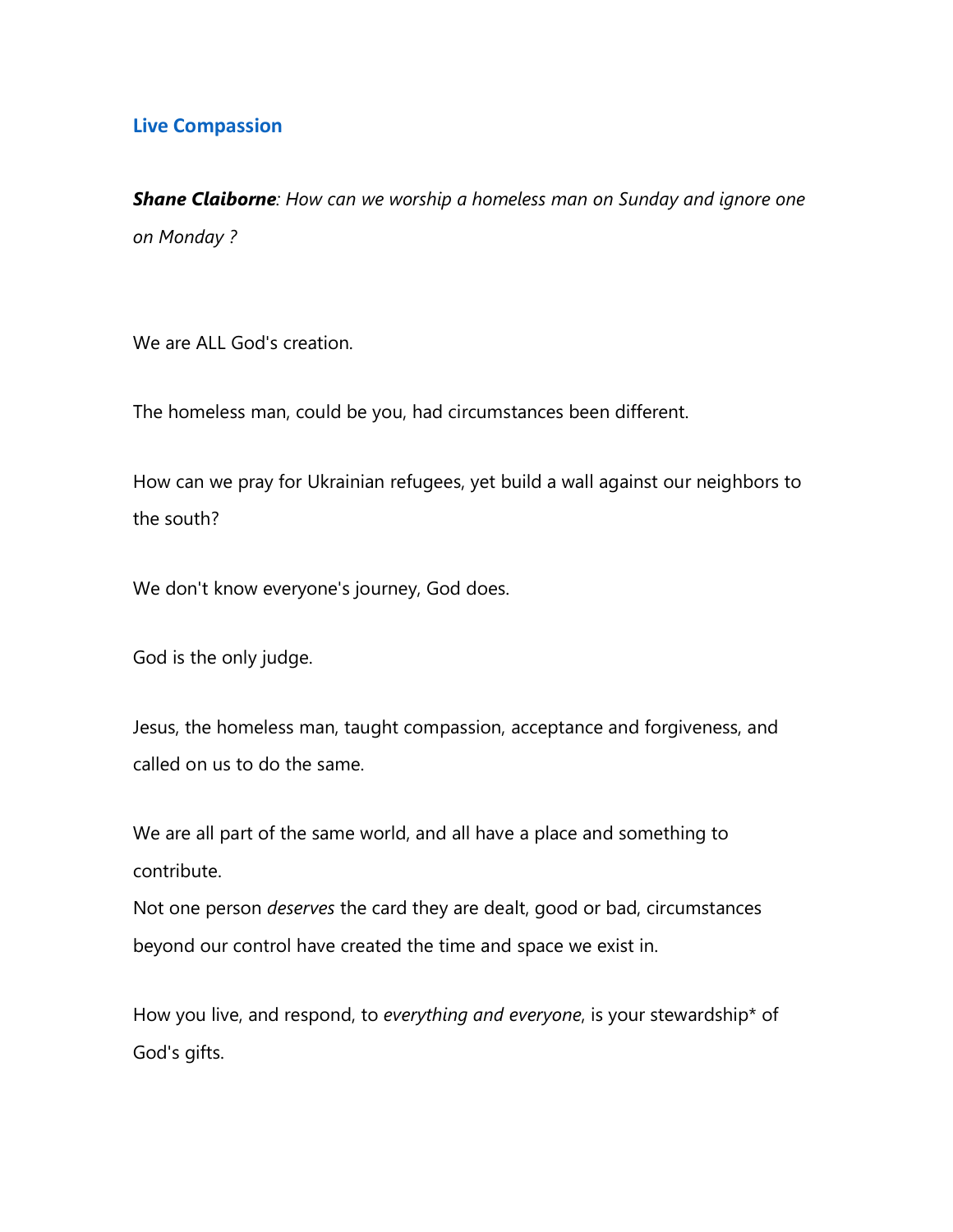## **Live Compassion**

*Shane Claiborne: How can we worship a homeless man on Sunday and ignore one on Monday ?*

We are ALL God's creation.

The homeless man, could be you, had circumstances been different.

How can we pray for Ukrainian refugees, yet build a wall against our neighbors to the south?

We don't know everyone's journey, God does.

God is the only judge.

Jesus, the homeless man, taught compassion, acceptance and forgiveness, and called on us to do the same.

We are all part of the same world, and all have a place and something to contribute.

Not one person *deserves* the card they are dealt, good or bad, circumstances beyond our control have created the time and space we exist in.

How you live, and respond, to *everything and everyone*, is your stewardship\* of God's gifts.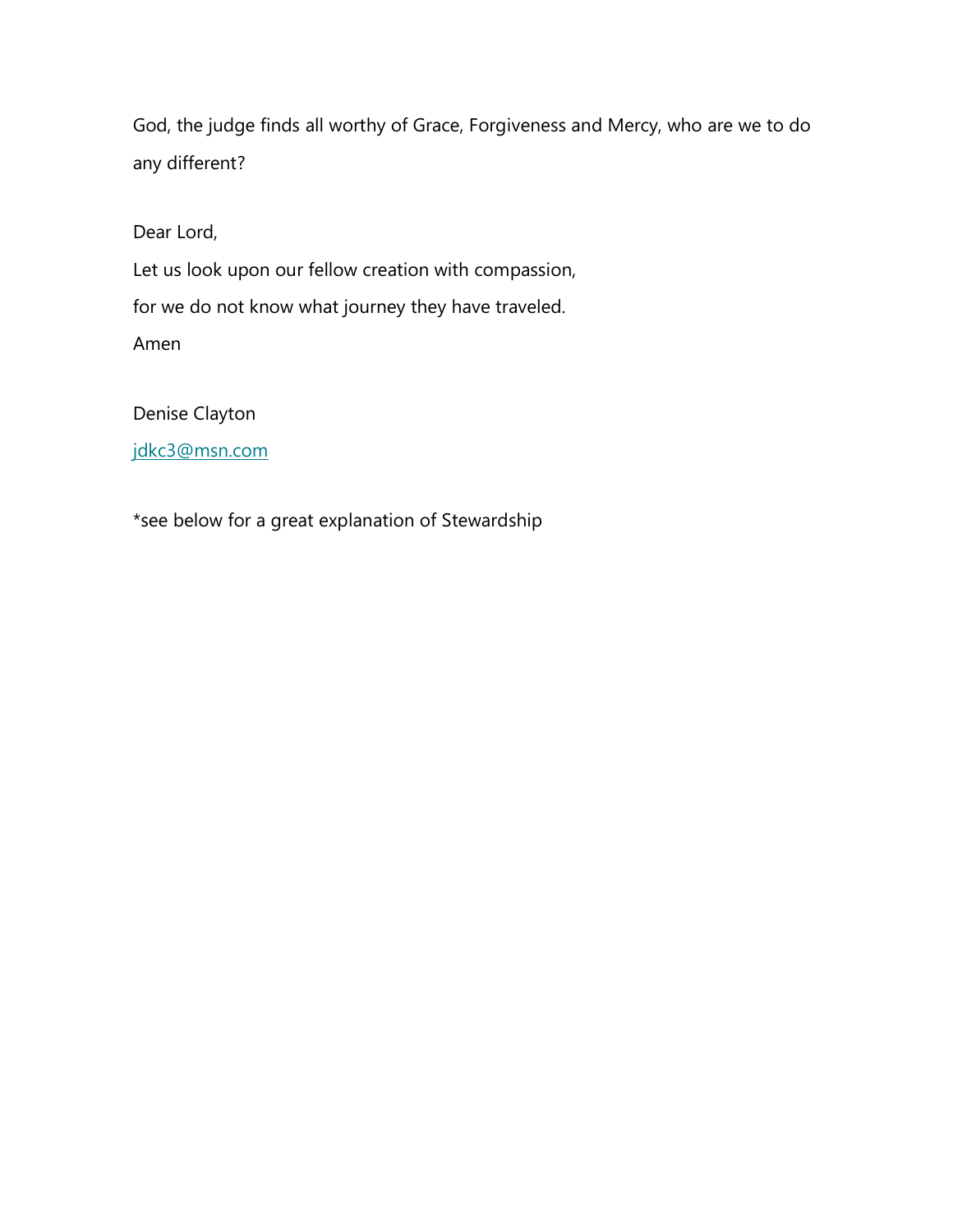God, the judge finds all worthy of Grace, Forgiveness and Mercy, who are we to do any different?

Dear Lord,

Let us look upon our fellow creation with compassion, for we do not know what journey they have traveled. Amen

Denise Clayton

[jdkc3@msn.com](mailto:jdkc3@msn.com)

\*see below for a great explanation of Stewardship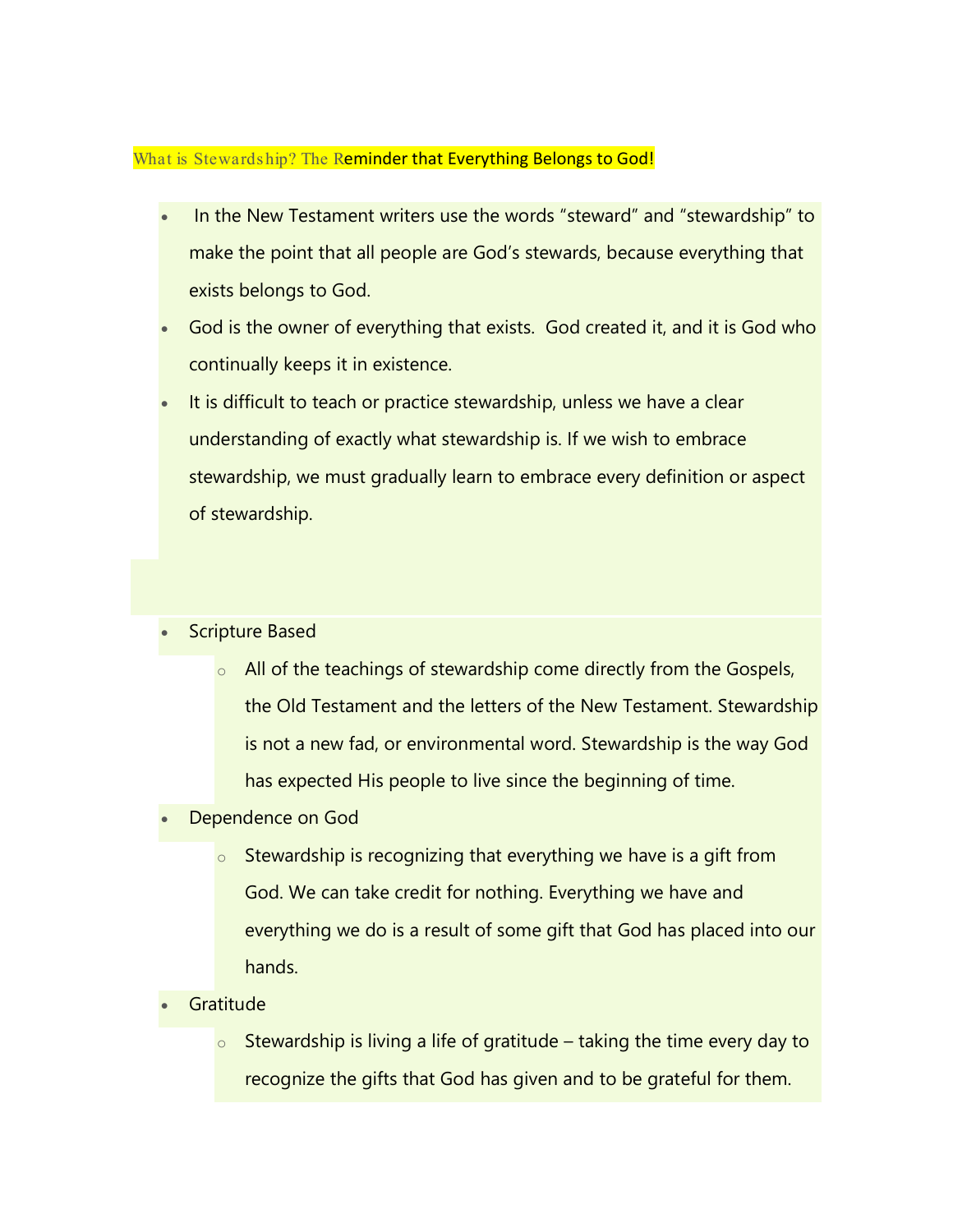## What is Stewards hip? The Reminder that Everything Belongs to God!

- In the New Testament writers use the words "steward" and "stewardship" to make the point that all people are God's stewards, because everything that exists belongs to God.
- God is the owner of everything that exists. God created it, and it is God who continually keeps it in existence.
- It is difficult to teach or practice stewardship, unless we have a clear understanding of exactly what stewardship is. If we wish to embrace stewardship, we must gradually learn to embrace every definition or aspect of stewardship.

## Scripture Based

- $\circ$  All of the teachings of stewardship come directly from the Gospels, the Old Testament and the letters of the New Testament. Stewardship is not a new fad, or environmental word. Stewardship is the way God has expected His people to live since the beginning of time.
- Dependence on God
	- $\circ$  Stewardship is recognizing that everything we have is a gift from God. We can take credit for nothing. Everything we have and everything we do is a result of some gift that God has placed into our hands.
- **Gratitude** 
	- $\circ$  Stewardship is living a life of gratitude taking the time every day to recognize the gifts that God has given and to be grateful for them.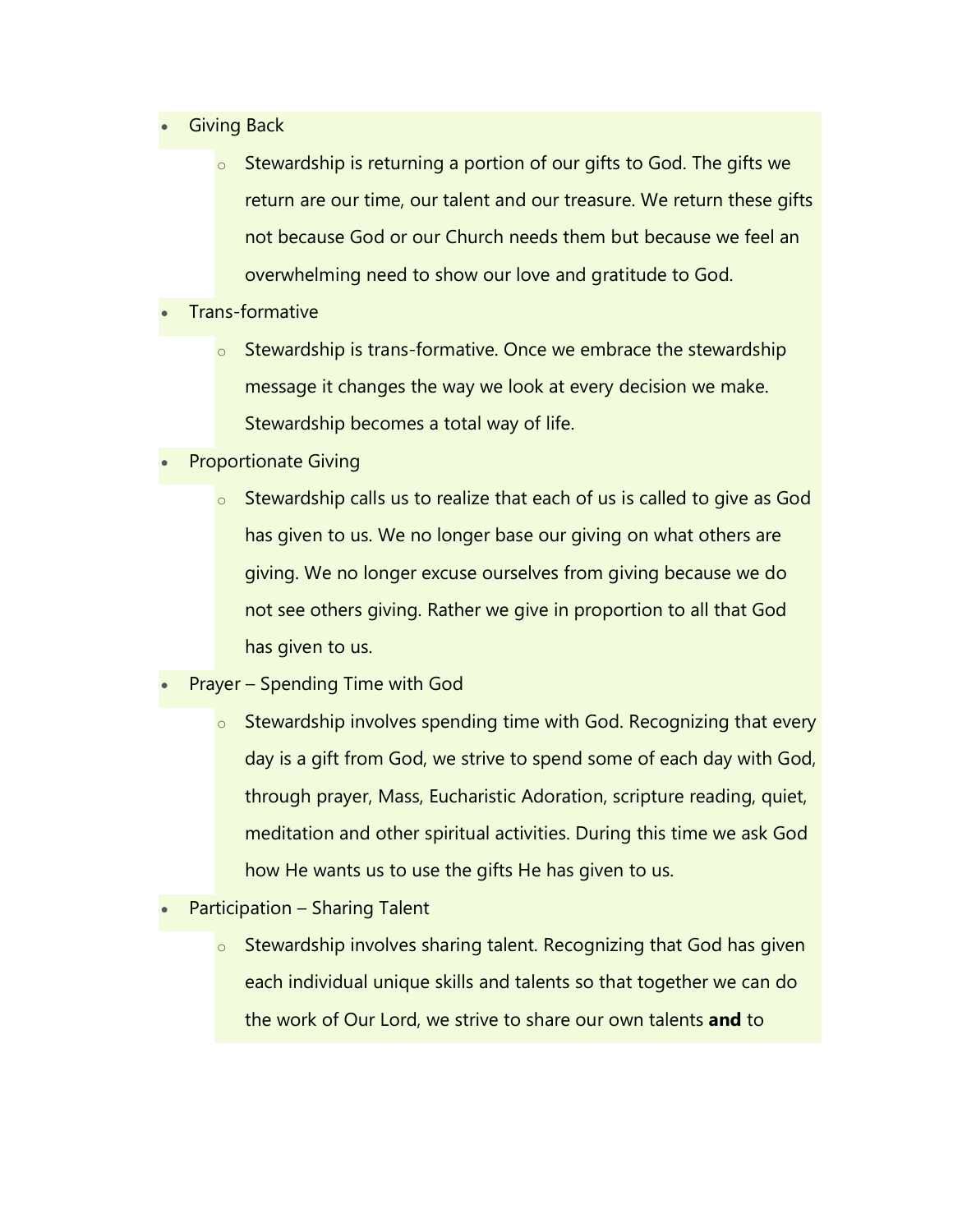- **Giving Back** 
	- o Stewardship is returning a portion of our gifts to God. The gifts we return are our time, our talent and our treasure. We return these gifts not because God or our Church needs them but because we feel an overwhelming need to show our love and gratitude to God.
- Trans-formative
	- $\circ$  Stewardship is trans-formative. Once we embrace the stewardship message it changes the way we look at every decision we make. Stewardship becomes a total way of life.
- Proportionate Giving
	- o Stewardship calls us to realize that each of us is called to give as God has given to us. We no longer base our giving on what others are giving. We no longer excuse ourselves from giving because we do not see others giving. Rather we give in proportion to all that God has given to us.
- Prayer Spending Time with God
	- $\circ$  Stewardship involves spending time with God. Recognizing that every day is a gift from God, we strive to spend some of each day with God, through prayer, Mass, Eucharistic Adoration, scripture reading, quiet, meditation and other spiritual activities. During this time we ask God how He wants us to use the gifts He has given to us.
- Participation Sharing Talent
	- $\circ$  Stewardship involves sharing talent. Recognizing that God has given each individual unique skills and talents so that together we can do the work of Our Lord, we strive to share our own talents **and** to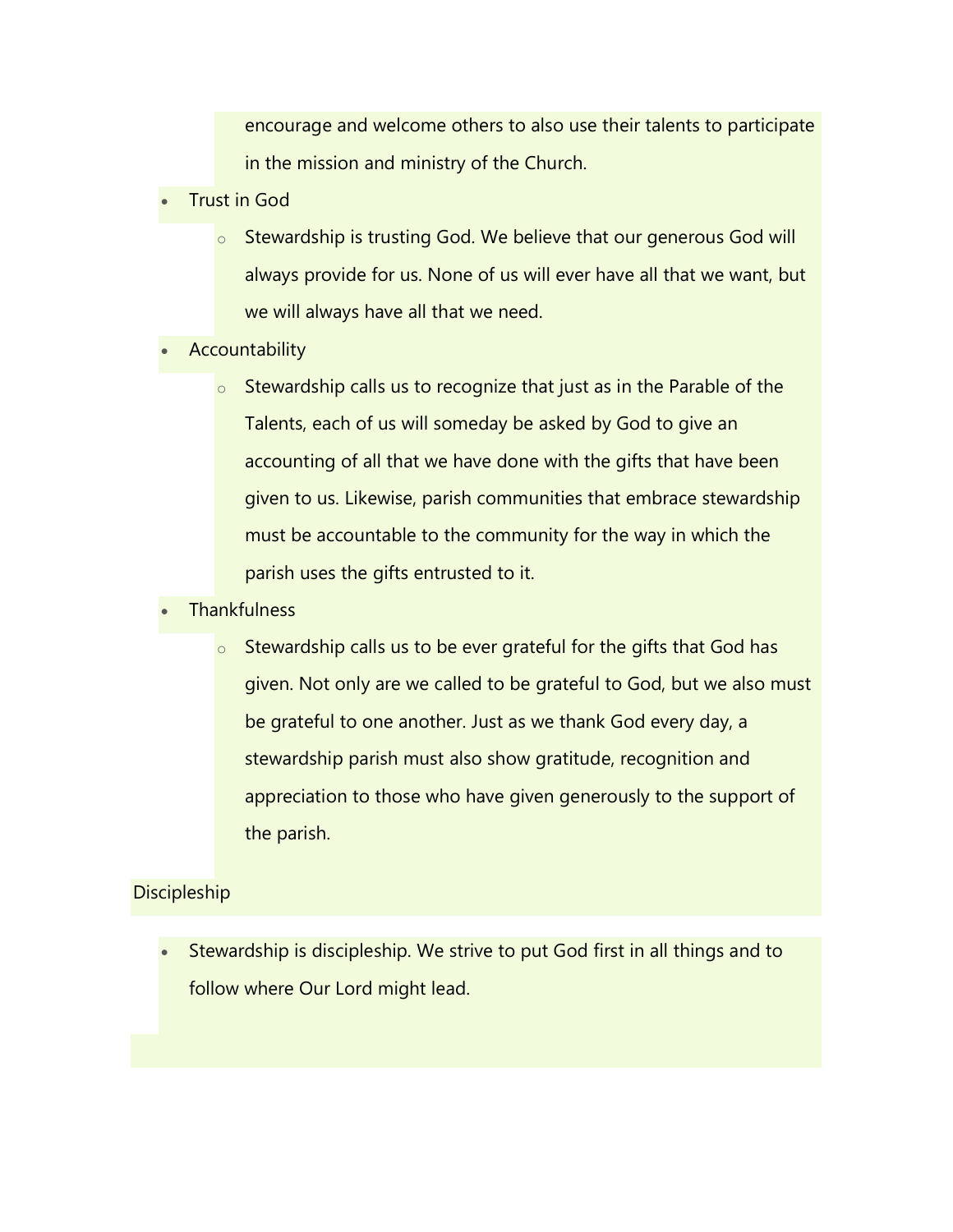encourage and welcome others to also use their talents to participate in the mission and ministry of the Church.

- Trust in God
	- o Stewardship is trusting God. We believe that our generous God will always provide for us. None of us will ever have all that we want, but we will always have all that we need.
- **Accountability** 
	- $\circ$  Stewardship calls us to recognize that just as in the Parable of the Talents, each of us will someday be asked by God to give an accounting of all that we have done with the gifts that have been given to us. Likewise, parish communities that embrace stewardship must be accountable to the community for the way in which the parish uses the gifts entrusted to it.
- **Thankfulness** 
	- $\circ$  Stewardship calls us to be ever grateful for the gifts that God has given. Not only are we called to be grateful to God, but we also must be grateful to one another. Just as we thank God every day, a stewardship parish must also show gratitude, recognition and appreciation to those who have given generously to the support of the parish.

## **Discipleship**

• Stewardship is discipleship. We strive to put God first in all things and to follow where Our Lord might lead.